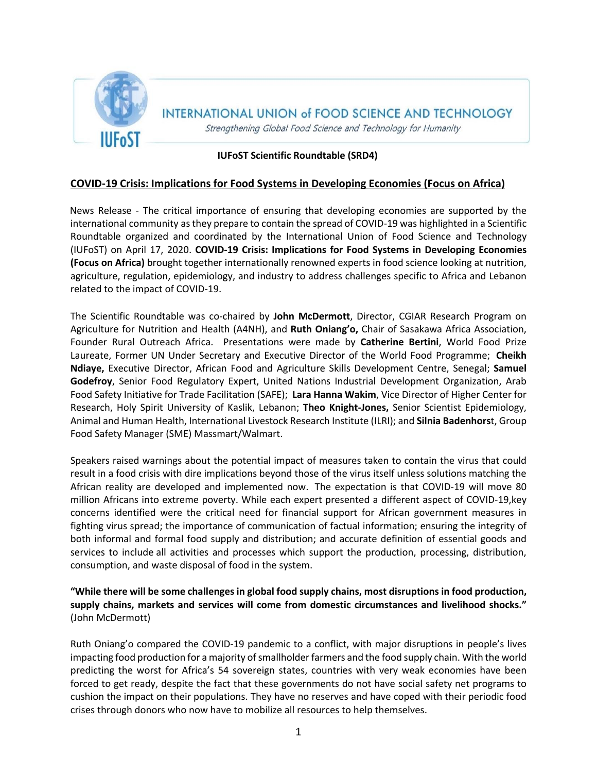

### **IUFoST Scientific Roundtable (SRD4)**

# **COVID-19 Crisis: Implications for Food Systems in Developing Economies (Focus on Africa)**

News Release - The critical importance of ensuring that developing economies are supported by the international community as they prepare to contain the spread of COVID-19 was highlighted in a Scientific Roundtable organized and coordinated by the International Union of Food Science and Technology (IUFoST) on April 17, 2020. **COVID-19 Crisis: Implications for Food Systems in Developing Economies (Focus on Africa)** brought together internationally renowned experts in food science looking at nutrition, agriculture, regulation, epidemiology, and industry to address challenges specific to Africa and Lebanon related to the impact of COVID-19.

The Scientific Roundtable was co-chaired by **John McDermott**, Director, CGIAR Research Program on Agriculture for Nutrition and Health (A4NH), and **Ruth Oniang'o,** Chair of Sasakawa Africa Association, Founder Rural Outreach Africa. Presentations were made by **Catherine Bertini**, World Food Prize Laureate, Former UN Under Secretary and Executive Director of the World Food Programme; **Cheikh Ndiaye,** Executive Director, African Food and Agriculture Skills Development Centre, Senegal; **Samuel Godefroy**, Senior Food Regulatory Expert, United Nations Industrial Development Organization, Arab Food Safety Initiative for Trade Facilitation (SAFE); **Lara Hanna Wakim**, Vice Director of Higher Center for Research, Holy Spirit University of Kaslik, Lebanon; **Theo Knight-Jones,** Senior Scientist Epidemiology, Animal and Human Health, International Livestock Research Institute (ILRI); and **Silnia Badenhors**t, Group Food Safety Manager (SME) Massmart/Walmart.

Speakers raised warnings about the potential impact of measures taken to contain the virus that could result in a food crisis with dire implications beyond those of the virus itself unless solutions matching the African reality are developed and implemented now. The expectation is that COVID-19 will move 80 million Africans into extreme poverty. While each expert presented a different aspect of COVID-19,key concerns identified were the critical need for financial support for African government measures in fighting virus spread; the importance of communication of factual information; ensuring the integrity of both informal and formal food supply and distribution; and accurate definition of essential goods and services to include all activities and processes which support the production, processing, distribution, consumption, and waste disposal of food in the system.

**"While there will be some challenges in global food supply chains, most disruptions in food production, supply chains, markets and services will come from domestic circumstances and livelihood shocks."** (John McDermott)

Ruth Oniang'o compared the COVID-19 pandemic to a conflict, with major disruptions in people's lives impacting food production for a majority of smallholder farmers and the food supply chain. With the world predicting the worst for Africa's 54 sovereign states, countries with very weak economies have been forced to get ready, despite the fact that these governments do not have social safety net programs to cushion the impact on their populations. They have no reserves and have coped with their periodic food crises through donors who now have to mobilize all resources to help themselves.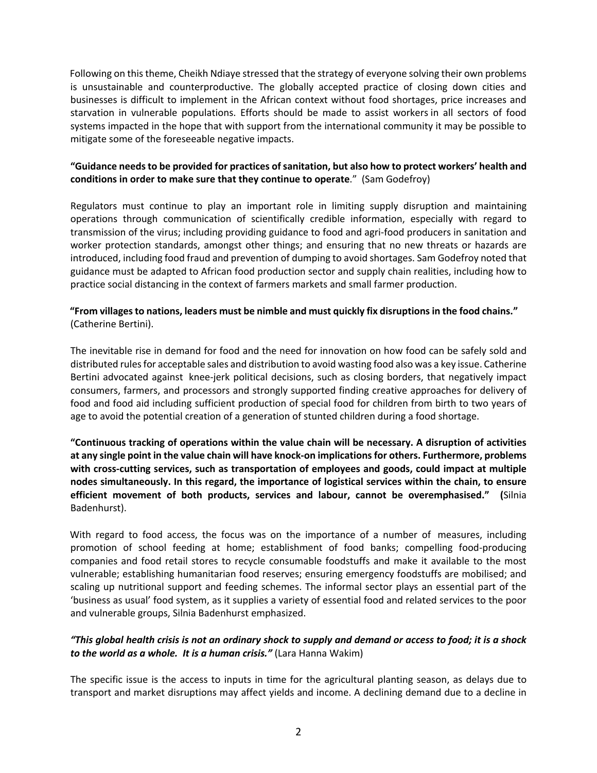Following on this theme, Cheikh Ndiaye stressed that the strategy of everyone solving their own problems is unsustainable and counterproductive. The globally accepted practice of closing down cities and businesses is difficult to implement in the African context without food shortages, price increases and starvation in vulnerable populations. Efforts should be made to assist workers in all sectors of food systems impacted in the hope that with support from the international community it may be possible to mitigate some of the foreseeable negative impacts.

# **"Guidance needs to be provided for practices of sanitation, but also how to protect workers' health and conditions in order to make sure that they continue to operate**." (Sam Godefroy)

Regulators must continue to play an important role in limiting supply disruption and maintaining operations through communication of scientifically credible information, especially with regard to transmission of the virus; including providing guidance to food and agri-food producers in sanitation and worker protection standards, amongst other things; and ensuring that no new threats or hazards are introduced, including food fraud and prevention of dumping to avoid shortages. Sam Godefroy noted that guidance must be adapted to African food production sector and supply chain realities, including how to practice social distancing in the context of farmers markets and small farmer production.

# **"From villages to nations, leaders must be nimble and must quickly fix disruptions in the food chains."** (Catherine Bertini).

The inevitable rise in demand for food and the need for innovation on how food can be safely sold and distributed rules for acceptable sales and distribution to avoid wasting food also was a key issue. Catherine Bertini advocated against knee-jerk political decisions, such as closing borders, that negatively impact consumers, farmers, and processors and strongly supported finding creative approaches for delivery of food and food aid including sufficient production of special food for children from birth to two years of age to avoid the potential creation of a generation of stunted children during a food shortage.

**"Continuous tracking of operations within the value chain will be necessary. A disruption of activities at any single point in the value chain will have knock-on implications for others. Furthermore, problems with cross-cutting services, such as transportation of employees and goods, could impact at multiple nodes simultaneously. In this regard, the importance of logistical services within the chain, to ensure efficient movement of both products, services and labour, cannot be overemphasised." (**Silnia Badenhurst).

With regard to food access, the focus was on the importance of a number of measures, including promotion of school feeding at home; establishment of food banks; compelling food-producing companies and food retail stores to recycle consumable foodstuffs and make it available to the most vulnerable; establishing humanitarian food reserves; ensuring emergency foodstuffs are mobilised; and scaling up nutritional support and feeding schemes. The informal sector plays an essential part of the 'business as usual' food system, as it supplies a variety of essential food and related services to the poor and vulnerable groups, Silnia Badenhurst emphasized.

# *"This global health crisis is not an ordinary shock to supply and demand or access to food; it is a shock to the world as a whole. It is a human crisis."* (Lara Hanna Wakim)

The specific issue is the access to inputs in time for the agricultural planting season, as delays due to transport and market disruptions may affect yields and income. A declining demand due to a decline in